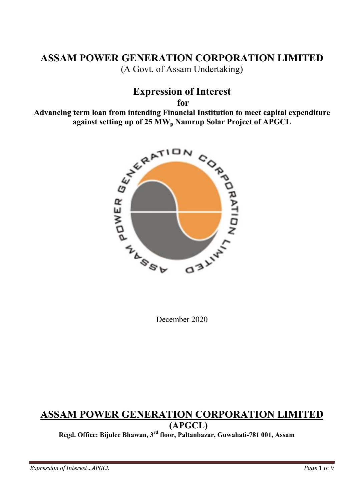# ASSAM POWER GENERATION CORPORATION LIMITED (A Govt. of Assam Undertaking)

# Expression of Interest

for

against setting up of 25 MW<sub>p</sub> Namrup Solar Project of APGCL



December 2020

# ASSAM POWER GENERATION CORPORATION LIMITED (APGCL)

Regd. Office: Bijulee Bhawan, 3rd floor, Paltanbazar, Guwahati-781 001, Assam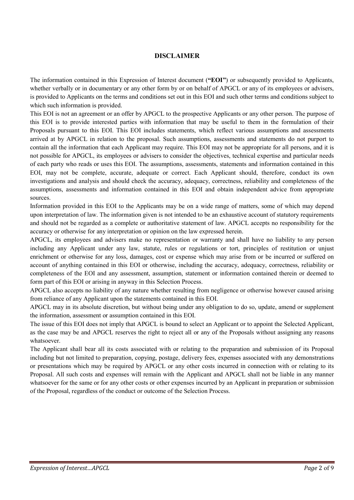#### DISCLAIMER

The information contained in this Expression of Interest document ("EOI") or subsequently provided to Applicants, whether verbally or in documentary or any other form by or on behalf of APGCL or any of its employees or advisers, is provided to Applicants on the terms and conditions set out in this EOI and such other terms and conditions subject to which such information is provided.

This EOI is not an agreement or an offer by APGCL to the prospective Applicants or any other person. The purpose of this EOI is to provide interested parties with information that may be useful to them in the formulation of their Proposals pursuant to this EOI. This EOI includes statements, which reflect various assumptions and assessments arrived at by APGCL in relation to the proposal. Such assumptions, assessments and statements do not purport to contain all the information that each Applicant may require. This EOI may not be appropriate for all persons, and it is not possible for APGCL, its employees or advisers to consider the objectives, technical expertise and particular needs of each party who reads or uses this EOI. The assumptions, assessments, statements and information contained in this EOI, may not be complete, accurate, adequate or correct. Each Applicant should, therefore, conduct its own investigations and analysis and should check the accuracy, adequacy, correctness, reliability and completeness of the assumptions, assessments and information contained in this EOI and obtain independent advice from appropriate sources.

Information provided in this EOI to the Applicants may be on a wide range of matters, some of which may depend upon interpretation of law. The information given is not intended to be an exhaustive account of statutory requirements and should not be regarded as a complete or authoritative statement of law. APGCL accepts no responsibility for the accuracy or otherwise for any interpretation or opinion on the law expressed herein.

APGCL, its employees and advisers make no representation or warranty and shall have no liability to any person including any Applicant under any law, statute, rules or regulations or tort, principles of restitution or unjust enrichment or otherwise for any loss, damages, cost or expense which may arise from or be incurred or suffered on account of anything contained in this EOI or otherwise, including the accuracy, adequacy, correctness, reliability or completeness of the EOI and any assessment, assumption, statement or information contained therein or deemed to form part of this EOI or arising in anyway in this Selection Process.

APGCL also accepts no liability of any nature whether resulting from negligence or otherwise however caused arising from reliance of any Applicant upon the statements contained in this EOI.

APGCL may in its absolute discretion, but without being under any obligation to do so, update, amend or supplement the information, assessment or assumption contained in this EOI.

The issue of this EOI does not imply that APGCL is bound to select an Applicant or to appoint the Selected Applicant, as the case may be and APGCL reserves the right to reject all or any of the Proposals without assigning any reasons whatsoever.

The Applicant shall bear all its costs associated with or relating to the preparation and submission of its Proposal including but not limited to preparation, copying, postage, delivery fees, expenses associated with any demonstrations or presentations which may be required by APGCL or any other costs incurred in connection with or relating to its Proposal. All such costs and expenses will remain with the Applicant and APGCL shall not be liable in any manner whatsoever for the same or for any other costs or other expenses incurred by an Applicant in preparation or submission of the Proposal, regardless of the conduct or outcome of the Selection Process.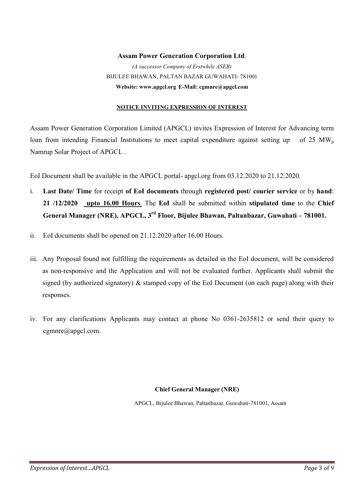## Assam Power Generation Corporation Ltd. (A successor Company of Erstwhile ASEB) BIJULEE BHAWAN, PALTAN BAZAR GUWAHATI- 781001 Website: www.apgcl.org E-Mail: cgmnre@apgcl.com

#### NOTICE INVITING EXPRESSION OF INTEREST

Assam Power Generation Corporation Limited (APGCL) invites Expression of Interest for Advancing term loan from intending Financial Institutions to meet capital expenditure against setting up of 25 MW<sub>p</sub> Namrup Solar Project of APGCL .

EoI Document shall be available in the APGCL portal- apgcl.org from 03.12.2020 to 21.12.2020.

- i. Last Date/ Time for receipt of EoI documents through registered post/ courier service or by hand: 21 /12/2020 upto 16.00 Hours. The EoI shall be submitted within stipulated time to the Chief General Manager (NRE), APGCL, 3rd Floor, Bijulee Bhawan, Paltanbazar, Guwahati – 781001.
- ii. EoI documents shall be opened on 21.12.2020 after 16.00 Hours.
- iii. Any Proposal found not fulfilling the requirements as detailed in the EoI document, will be considered as non-responsive and the Application and will not be evaluated further. Applicants shall submit the signed (by authorized signatory) & stamped copy of the EoI Document (on each page) along with their responses.
- iv. For any clarifications Applicants may contact at phone No 0361-2635812 or send their query to cgmnre@apgcl.com.

#### Chief General Manager (NRE)

APGCL, Bijulee Bhawan, Paltanbazar, Guwahati-781001, Assam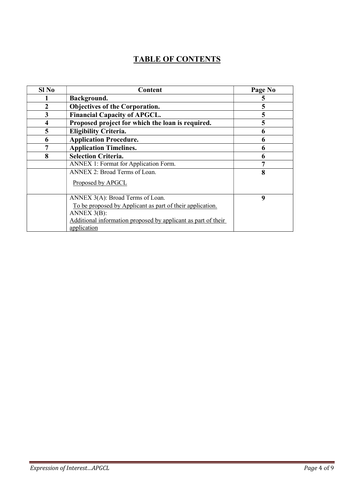# TABLE OF CONTENTS

| Sl No | Content                                                       | Page No |
|-------|---------------------------------------------------------------|---------|
|       | Background.                                                   | 5       |
|       | <b>Objectives of the Corporation.</b>                         | 5       |
| 3     | <b>Financial Capacity of APGCL.</b>                           | 5       |
| 4     | Proposed project for which the loan is required.              | 5       |
| 5     | <b>Eligibility Criteria.</b>                                  | 6       |
| 6     | <b>Application Procedure.</b>                                 | 6       |
| 7     | <b>Application Timelines.</b>                                 | 6       |
| 8     | <b>Selection Criteria.</b>                                    | 6       |
|       | ANNEX 1: Format for Application Form.                         | 7       |
|       | ANNEX 2: Broad Terms of Loan.                                 | 8       |
|       | Proposed by APGCL                                             |         |
|       | ANNEX 3(A): Broad Terms of Loan.                              | 9       |
|       | To be proposed by Applicant as part of their application.     |         |
|       | ANNEX 3(B):                                                   |         |
|       | Additional information proposed by applicant as part of their |         |
|       | application                                                   |         |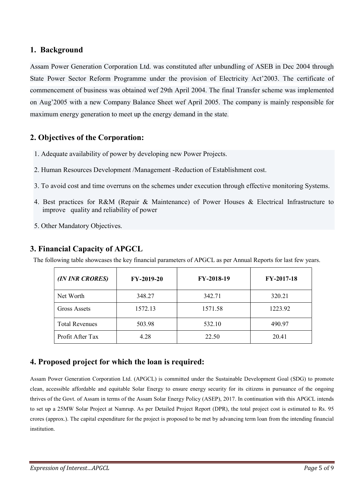### 1. Background

Assam Power Generation Corporation Ltd. was constituted after unbundling of ASEB in Dec 2004 through State Power Sector Reform Programme under the provision of Electricity Act'2003. The certificate of commencement of business was obtained wef 29th April 2004. The final Transfer scheme was implemented on Aug'2005 with a new Company Balance Sheet wef April 2005. The company is mainly responsible for maximum energy generation to meet up the energy demand in the state.

### 2. Objectives of the Corporation:

- 1. Adequate availability of power by developing new Power Projects.
- 2. Human Resources Development /Management -Reduction of Establishment cost.
- 3. To avoid cost and time overruns on the schemes under execution through effective monitoring Systems.
- 4. Best practices for R&M (Repair & Maintenance) of Power Houses & Electrical Infrastructure to improve quality and reliability of power
- 5. Other Mandatory Objectives.

### 3. Financial Capacity of APGCL

The following table showcases the key financial parameters of APGCL as per Annual Reports for last few years.

| (IN INR CRORES)       | FY-2019-20 | FY-2018-19 | FY-2017-18 |
|-----------------------|------------|------------|------------|
| Net Worth             | 348.27     | 342.71     | 320.21     |
| Gross Assets          | 1572.13    | 1571.58    | 1223.92    |
| <b>Total Revenues</b> | 503.98     | 532.10     | 490.97     |
| Profit After Tax      | 4.28       | 22.50      | 20.41      |

### 4. Proposed project for which the loan is required:

Assam Power Generation Corporation Ltd. (APGCL) is committed under the Sustainable Development Goal (SDG) to promote clean, accessible affordable and equitable Solar Energy to ensure energy security for its citizens in pursuance of the ongoing thrives of the Govt. of Assam in terms of the Assam Solar Energy Policy (ASEP), 2017. In continuation with this APGCL intends to set up a 25MW Solar Project at Namrup. As per Detailed Project Report (DPR), the total project cost is estimated to Rs. 95 crores (approx.). The capital expenditure for the project is proposed to be met by advancing term loan from the intending financial institution.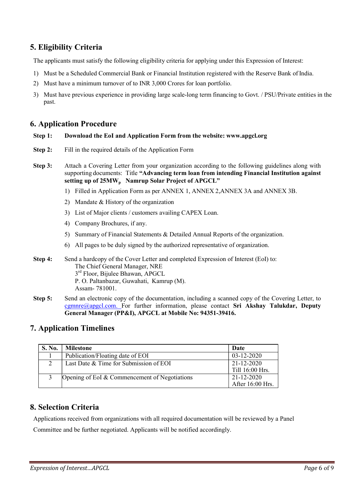## 5. Eligibility Criteria

The applicants must satisfy the following eligibility criteria for applying under this Expression of Interest:

- 1) Must be a Scheduled Commercial Bank or Financial Institution registered with the Reserve Bank of India.
- 2) Must have a minimum turnover of to INR 3,000 Crores for loan portfolio.
- 3) Must have previous experience in providing large scale-long term financing to Govt. / PSU/Private entities in the past.

### 6. Application Procedure

#### Step 1: Download the EoI and Application Form from the website: www.apgcl.org

- Step 2: Fill in the required details of the Application Form
- Step 3: Attach a Covering Letter from your organization according to the following guidelines along with supporting documents: Title "Advancing term loan from intending Financial Institution against setting up of 25MW<sub>p</sub> Namrup Solar Project of APGCL"
	- 1) Filled in Application Form as per ANNEX 1, ANNEX 2,ANNEX 3A and ANNEX 3B.
	- 2) Mandate & History of the organization
	- 3) List of Major clients / customers availing CAPEX Loan.
	- 4) Company Brochures, if any.
	- 5) Summary of Financial Statements & Detailed Annual Reports of the organization.
	- 6) All pages to be duly signed by the authorized representative of organization.

Step 4: Send a hardcopy of the Cover Letter and completed Expression of Interest (EoI) to: The Chief General Manager, NRE  $3<sup>1</sup>$ 3<sup>rd</sup> Floor, Bijulee Bhawan, APGCL P. O. Paltanbazar, Guwahati, Kamrup (M). Assam- 781001.

Step 5: Send an electronic copy of the documentation, including a scanned copy of the Covering Letter, to cgmnre@apgcl.com. For further information, please contact Sri Akshay Talukdar, Deputy General Manager (PP&I), APGCL at Mobile No: 94351-39416.

### 7. Application Timelines

| <b>S. No.</b> | <b>Milestone</b>                              | Date                           |
|---------------|-----------------------------------------------|--------------------------------|
|               | Publication/Floating date of EOI              | $03 - 12 - 2020$               |
| $\mathcal{D}$ | Last Date & Time for Submission of EOI        | 21-12-2020<br>Till 16:00 Hrs.  |
|               | Opening of EoI & Commencement of Negotiations | 21-12-2020<br>After 16:00 Hrs. |

## 8. Selection Criteria

Applications received from organizations with all required documentation will be reviewed by a Panel

Committee and be further negotiated. Applicants will be notified accordingly.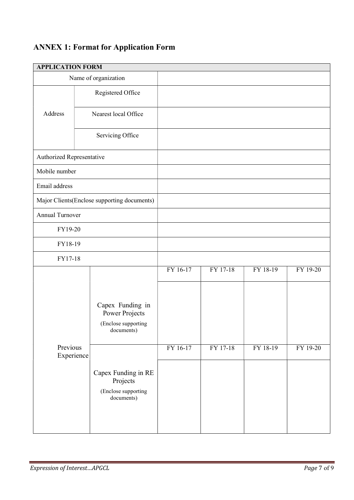# ANNEX 1: Format for Application Form

| <b>APPLICATION FORM</b>   |  |                                                                         |                      |                      |                      |                      |
|---------------------------|--|-------------------------------------------------------------------------|----------------------|----------------------|----------------------|----------------------|
| Name of organization      |  |                                                                         |                      |                      |                      |                      |
|                           |  | Registered Office                                                       |                      |                      |                      |                      |
| Address                   |  | Nearest local Office                                                    |                      |                      |                      |                      |
|                           |  | Servicing Office                                                        |                      |                      |                      |                      |
| Authorized Representative |  |                                                                         |                      |                      |                      |                      |
| Mobile number             |  |                                                                         |                      |                      |                      |                      |
| Email address             |  |                                                                         |                      |                      |                      |                      |
|                           |  | Major Clients(Enclose supporting documents)                             |                      |                      |                      |                      |
| Annual Turnover           |  |                                                                         |                      |                      |                      |                      |
| FY19-20                   |  |                                                                         |                      |                      |                      |                      |
| FY18-19                   |  |                                                                         |                      |                      |                      |                      |
| FY17-18                   |  |                                                                         |                      |                      |                      |                      |
| Previous<br>Experience    |  | Capex Funding in<br>Power Projects<br>(Enclose supporting<br>documents) | FY 16-17<br>FY 16-17 | FY 17-18<br>FY 17-18 | FY 18-19<br>FY 18-19 | FY 19-20<br>FY 19-20 |
|                           |  | Capex Funding in RE<br>Projects<br>(Enclose supporting<br>documents)    |                      |                      |                      |                      |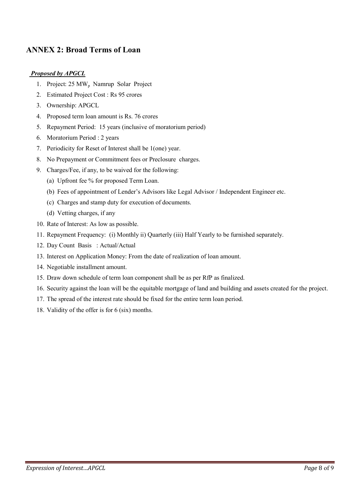## ANNEX 2: Broad Terms of Loan

#### Proposed by APGCL

- 1. Project: 25 MW<sub>p</sub> Namrup Solar Project
- 2. Estimated Project Cost : Rs 95 crores
- 3. Ownership: APGCL
- 4. Proposed term loan amount is Rs. 76 crores
- 5. Repayment Period: 15 years (inclusive of moratorium period)
- 6. Moratorium Period : 2 years
- 7. Periodicity for Reset of Interest shall be 1(one) year.
- 8. No Prepayment or Commitment fees or Preclosure charges.
- 9. Charges/Fee, if any, to be waived for the following:
	- (a) Upfront fee % for proposed Term Loan.
	- (b) Fees of appointment of Lender's Advisors like Legal Advisor / Independent Engineer etc.
	- (c) Charges and stamp duty for execution of documents.
	- (d) Vetting charges, if any
- 10. Rate of Interest: As low as possible.
- 11. Repayment Frequency: (i) Monthly ii) Quarterly (iii) Half Yearly to be furnished separately.
- 12. Day Count Basis : Actual/Actual
- 13. Interest on Application Money: From the date of realization of loan amount.
- 14. Negotiable installment amount.
- 15. Draw down schedule of term loan component shall be as per RfP as finalized.
- 16. Security against the loan will be the equitable mortgage of land and building and assets created for the project.
- 17. The spread of the interest rate should be fixed for the entire term loan period.
- 18. Validity of the offer is for 6 (six) months.